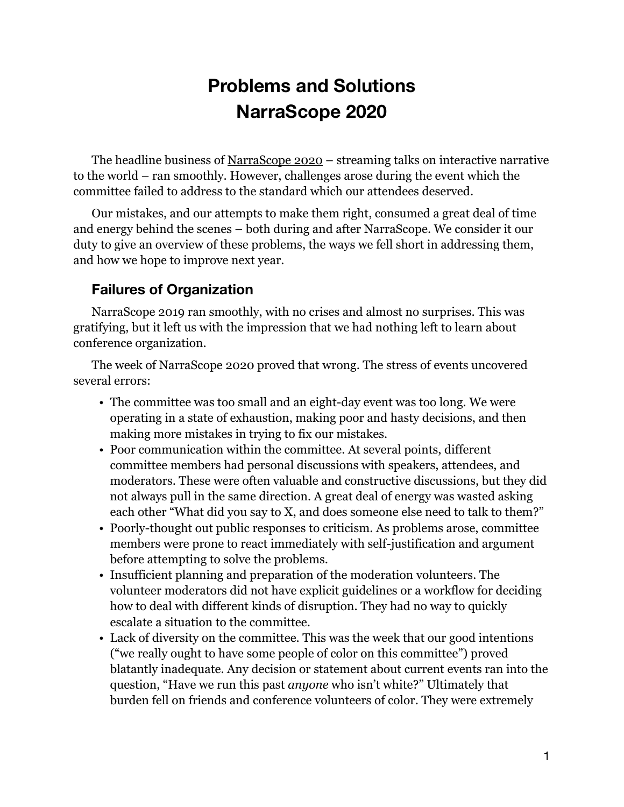# **Problems and Solutions NarraScope 2020**

The headline business of [NarraScope 2020](https://2020.narrascope.org/) – streaming talks on interactive narrative to the world – ran smoothly. However, challenges arose during the event which the committee failed to address to the standard which our attendees deserved.

Our mistakes, and our attempts to make them right, consumed a great deal of time and energy behind the scenes – both during and after NarraScope. We consider it our duty to give an overview of these problems, the ways we fell short in addressing them, and how we hope to improve next year.

## **Failures of Organization**

NarraScope 2019 ran smoothly, with no crises and almost no surprises. This was gratifying, but it left us with the impression that we had nothing left to learn about conference organization.

The week of NarraScope 2020 proved that wrong. The stress of events uncovered several errors:

- The committee was too small and an eight-day event was too long. We were operating in a state of exhaustion, making poor and hasty decisions, and then making more mistakes in trying to fix our mistakes.
- Poor communication within the committee. At several points, different committee members had personal discussions with speakers, attendees, and moderators. These were often valuable and constructive discussions, but they did not always pull in the same direction. A great deal of energy was wasted asking each other "What did you say to X, and does someone else need to talk to them?"
- Poorly-thought out public responses to criticism. As problems arose, committee members were prone to react immediately with self-justification and argument before attempting to solve the problems.
- Insufficient planning and preparation of the moderation volunteers. The volunteer moderators did not have explicit guidelines or a workflow for deciding how to deal with different kinds of disruption. They had no way to quickly escalate a situation to the committee.
- Lack of diversity on the committee. This was the week that our good intentions ("we really ought to have some people of color on this committee") proved blatantly inadequate. Any decision or statement about current events ran into the question, "Have we run this past *anyone* who isn't white?" Ultimately that burden fell on friends and conference volunteers of color. They were extremely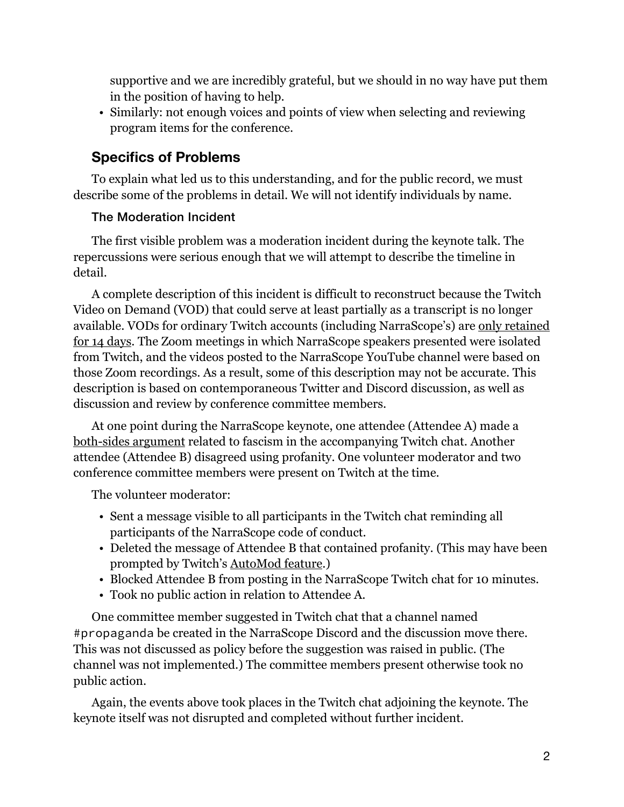supportive and we are incredibly grateful, but we should in no way have put them in the position of having to help.

• Similarly: not enough voices and points of view when selecting and reviewing program items for the conference.

# **Specifics of Problems**

To explain what led us to this understanding, and for the public record, we must describe some of the problems in detail. We will not identify individuals by name.

## The Moderation Incident

The first visible problem was a moderation incident during the keynote talk. The repercussions were serious enough that we will attempt to describe the timeline in detail.

A complete description of this incident is difficult to reconstruct because the Twitch Video on Demand (VOD) that could serve at least partially as a transcript is no longer available. VODs for ordinary Twitch accounts (including NarraScope's) are [only retained](https://help.twitch.tv/s/article/video-on-demand)  [for 14 days](https://help.twitch.tv/s/article/video-on-demand). The Zoom meetings in which NarraScope speakers presented were isolated from Twitch, and the videos posted to the NarraScope YouTube channel were based on those Zoom recordings. As a result, some of this description may not be accurate. This description is based on contemporaneous Twitter and Discord discussion, as well as discussion and review by conference committee members.

At one point during the NarraScope keynote, one attendee (Attendee A) made a [both-sides argument](https://en.wikipedia.org/wiki/False_balance) related to fascism in the accompanying Twitch chat. Another attendee (Attendee B) disagreed using profanity. One volunteer moderator and two conference committee members were present on Twitch at the time.

The volunteer moderator:

- Sent a message visible to all participants in the Twitch chat reminding all participants of the NarraScope code of conduct.
- Deleted the message of Attendee B that contained profanity. (This may have been prompted by Twitch's [AutoMod feature.](https://help.twitch.tv/s/article/how-to-use-automod))
- Blocked Attendee B from posting in the NarraScope Twitch chat for 10 minutes.
- Took no public action in relation to Attendee A.

One committee member suggested in Twitch chat that a channel named #propaganda be created in the NarraScope Discord and the discussion move there. This was not discussed as policy before the suggestion was raised in public. (The channel was not implemented.) The committee members present otherwise took no public action.

Again, the events above took places in the Twitch chat adjoining the keynote. The keynote itself was not disrupted and completed without further incident.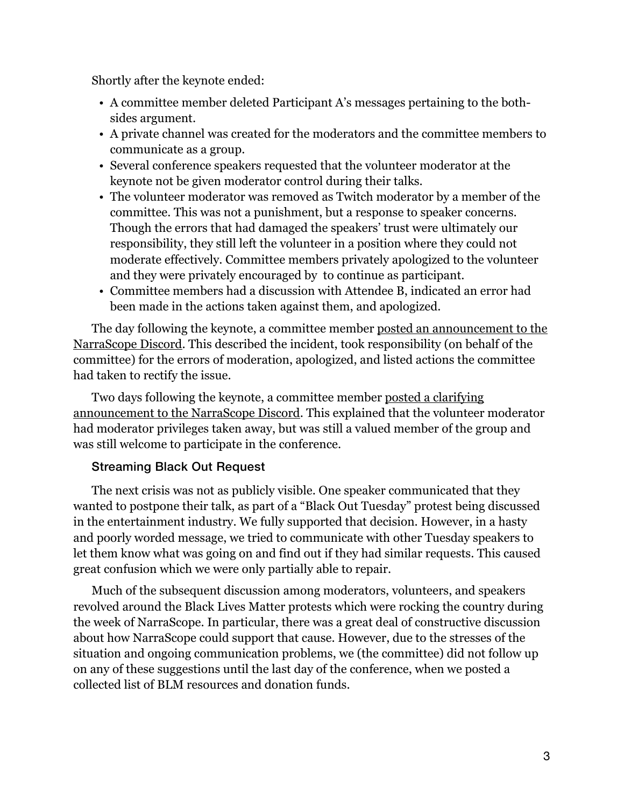Shortly after the keynote ended:

- A committee member deleted Participant A's messages pertaining to the bothsides argument.
- A private channel was created for the moderators and the committee members to communicate as a group.
- Several conference speakers requested that the volunteer moderator at the keynote not be given moderator control during their talks.
- The volunteer moderator was removed as Twitch moderator by a member of the committee. This was not a punishment, but a response to speaker concerns. Though the errors that had damaged the speakers' trust were ultimately our responsibility, they still left the volunteer in a position where they could not moderate effectively. Committee members privately apologized to the volunteer and they were privately encouraged by to continue as participant.
- Committee members had a discussion with Attendee B, indicated an error had been made in the actions taken against them, and apologized.

The day following the keynote, a committee member posted an announcement to the [NarraScope Discord.](https://discordapp.com/channels/590565562334052352/590566616098537503/716318626671624213) This described the incident, took responsibility (on behalf of the committee) for the errors of moderation, apologized, and listed actions the committee had taken to rectify the issue.

Two days following the keynote, a committee member [posted a clarifying](https://discordapp.com/channels/590565562334052352/590566616098537503/717067744528564225)  [announcement to the NarraScope Discord](https://discordapp.com/channels/590565562334052352/590566616098537503/717067744528564225). This explained that the volunteer moderator had moderator privileges taken away, but was still a valued member of the group and was still welcome to participate in the conference.

#### Streaming Black Out Request

The next crisis was not as publicly visible. One speaker communicated that they wanted to postpone their talk, as part of a "Black Out Tuesday" protest being discussed in the entertainment industry. We fully supported that decision. However, in a hasty and poorly worded message, we tried to communicate with other Tuesday speakers to let them know what was going on and find out if they had similar requests. This caused great confusion which we were only partially able to repair.

Much of the subsequent discussion among moderators, volunteers, and speakers revolved around the Black Lives Matter protests which were rocking the country during the week of NarraScope. In particular, there was a great deal of constructive discussion about how NarraScope could support that cause. However, due to the stresses of the situation and ongoing communication problems, we (the committee) did not follow up on any of these suggestions until the last day of the conference, when we posted a collected list of BLM resources and donation funds.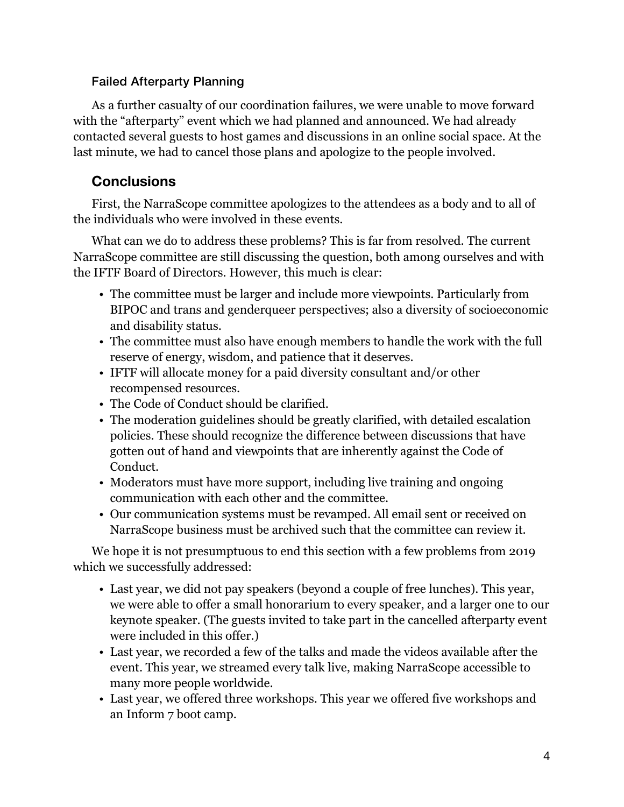### Failed Afterparty Planning

As a further casualty of our coordination failures, we were unable to move forward with the "afterparty" event which we had planned and announced. We had already contacted several guests to host games and discussions in an online social space. At the last minute, we had to cancel those plans and apologize to the people involved.

# **Conclusions**

First, the NarraScope committee apologizes to the attendees as a body and to all of the individuals who were involved in these events.

What can we do to address these problems? This is far from resolved. The current NarraScope committee are still discussing the question, both among ourselves and with the IFTF Board of Directors. However, this much is clear:

- The committee must be larger and include more viewpoints. Particularly from BIPOC and trans and genderqueer perspectives; also a diversity of socioeconomic and disability status.
- The committee must also have enough members to handle the work with the full reserve of energy, wisdom, and patience that it deserves.
- IFTF will allocate money for a paid diversity consultant and/or other recompensed resources.
- The Code of Conduct should be clarified.
- The moderation guidelines should be greatly clarified, with detailed escalation policies. These should recognize the difference between discussions that have gotten out of hand and viewpoints that are inherently against the Code of Conduct.
- Moderators must have more support, including live training and ongoing communication with each other and the committee.
- Our communication systems must be revamped. All email sent or received on NarraScope business must be archived such that the committee can review it.

We hope it is not presumptuous to end this section with a few problems from 2019 which we successfully addressed:

- Last year, we did not pay speakers (beyond a couple of free lunches). This year, we were able to offer a small honorarium to every speaker, and a larger one to our keynote speaker. (The guests invited to take part in the cancelled afterparty event were included in this offer.)
- Last year, we recorded a few of the talks and made the videos available after the event. This year, we streamed every talk live, making NarraScope accessible to many more people worldwide.
- Last year, we offered three workshops. This year we offered five workshops and an Inform 7 boot camp.